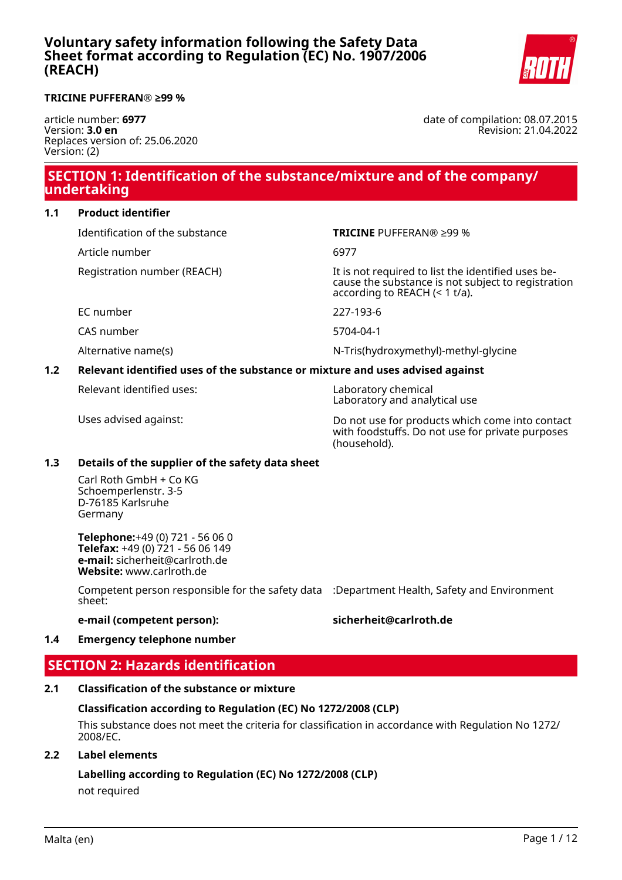

#### **TRICINE PUFFERAN® ≥99 %**

article number: **6977** Version: **3.0 en** Replaces version of: 25.06.2020 Version: (2)

date of compilation: 08.07.2015 Revision: 21.04.2022

# **SECTION 1: Identification of the substance/mixture and of the company/ undertaking**

### **1.1 Product identifier**

Identification of the substance **TRICINE** PUFFERAN® ≥99 %

Article number 6977

Registration number (REACH) The state of the identified uses be-

EC number 227-193-6

CAS number 5704-04-1

Alternative name(s)  $N-Tris(hydroxymethyl-methyl-qlycine$ 

# **1.2 Relevant identified uses of the substance or mixture and uses advised against**

Relevant identified uses: Laboratory chemical

Laboratory and analytical use

according to REACH (< 1 t/a).

Uses advised against: Do not use for products which come into contact with foodstuffs. Do not use for private purposes (household).

cause the substance is not subject to registration

#### **1.3 Details of the supplier of the safety data sheet**

Carl Roth GmbH + Co KG Schoemperlenstr. 3-5 D-76185 Karlsruhe Germany

**Telephone:**+49 (0) 721 - 56 06 0 **Telefax:** +49 (0) 721 - 56 06 149 **e-mail:** sicherheit@carlroth.de **Website:** www.carlroth.de

Competent person responsible for the safety data :Department Health, Safety and Environment sheet:

#### **e-mail (competent person): sicherheit@carlroth.de**

#### **1.4 Emergency telephone number**

# **SECTION 2: Hazards identification**

# **2.1 Classification of the substance or mixture**

#### **Classification according to Regulation (EC) No 1272/2008 (CLP)**

This substance does not meet the criteria for classification in accordance with Regulation No 1272/ 2008/EC.

#### **2.2 Label elements**

**Labelling according to Regulation (EC) No 1272/2008 (CLP)** not required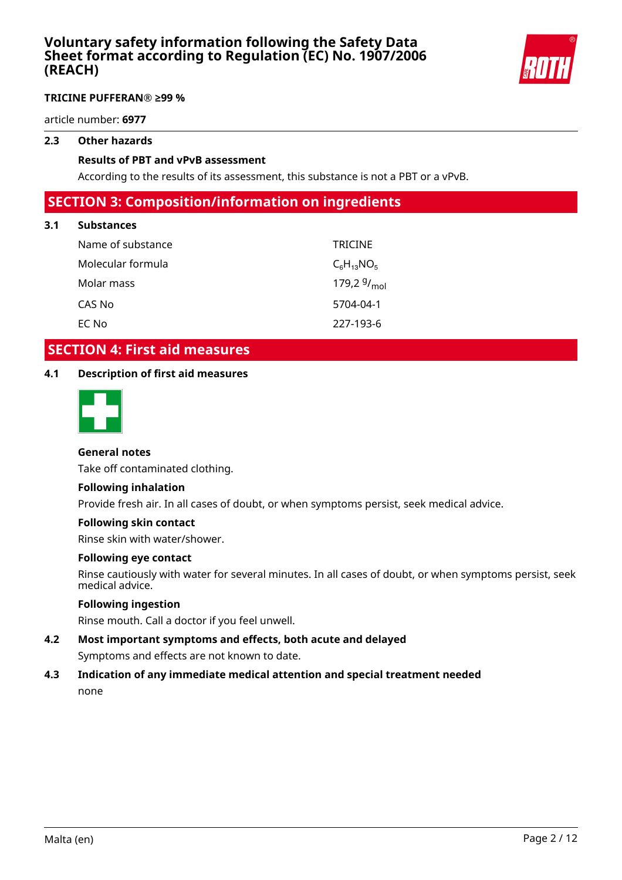

### **TRICINE PUFFERAN® ≥99 %**

article number: **6977**

# **2.3 Other hazards**

#### **Results of PBT and vPvB assessment**

According to the results of its assessment, this substance is not a PBT or a vPvB.

# **SECTION 3: Composition/information on ingredients**

#### **3.1 Substances**

| Name of substance | <b>TRICINE</b>   |
|-------------------|------------------|
| Molecular formula | $C_6H_{13}NO_5$  |
| Molar mass        | 179,2 $9/_{mol}$ |
| CAS No            | 5704-04-1        |
| EC No             | 227-193-6        |

# **SECTION 4: First aid measures**

#### **4.1 Description of first aid measures**



#### **General notes**

Take off contaminated clothing.

#### **Following inhalation**

Provide fresh air. In all cases of doubt, or when symptoms persist, seek medical advice.

#### **Following skin contact**

Rinse skin with water/shower.

#### **Following eye contact**

Rinse cautiously with water for several minutes. In all cases of doubt, or when symptoms persist, seek medical advice.

### **Following ingestion**

Rinse mouth. Call a doctor if you feel unwell.

# **4.2 Most important symptoms and effects, both acute and delayed**

Symptoms and effects are not known to date.

# **4.3 Indication of any immediate medical attention and special treatment needed** none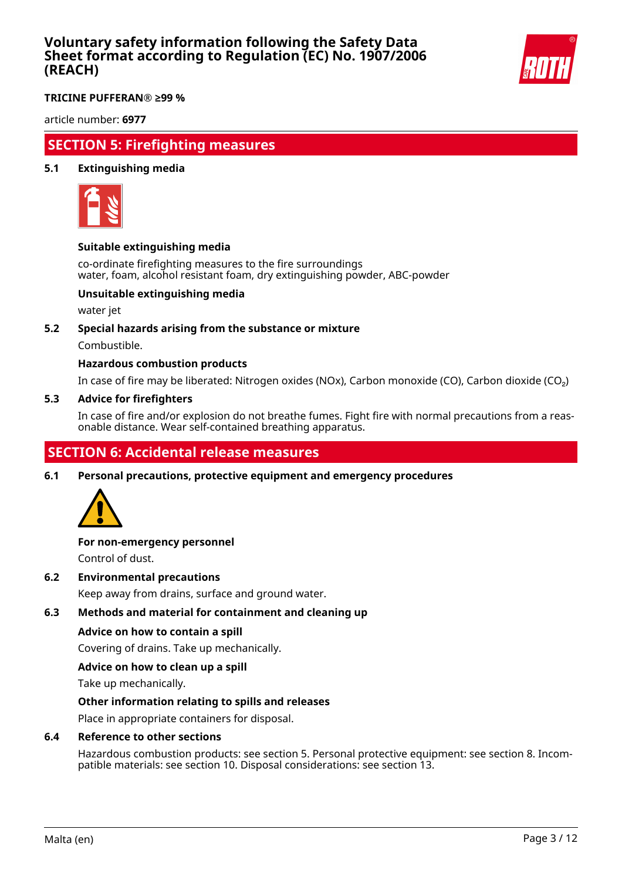

**TRICINE PUFFERAN® ≥99 %**

article number: **6977**

# **SECTION 5: Firefighting measures**

### **5.1 Extinguishing media**



#### **Suitable extinguishing media**

co-ordinate firefighting measures to the fire surroundings water, foam, alcohol resistant foam, dry extinguishing powder, ABC-powder

### **Unsuitable extinguishing media**

water jet

#### **5.2 Special hazards arising from the substance or mixture**

Combustible.

### **Hazardous combustion products**

In case of fire may be liberated: Nitrogen oxides (NOx), Carbon monoxide (CO), Carbon dioxide (CO₂)

#### **5.3 Advice for firefighters**

In case of fire and/or explosion do not breathe fumes. Fight fire with normal precautions from a reasonable distance. Wear self-contained breathing apparatus.

# **SECTION 6: Accidental release measures**

**6.1 Personal precautions, protective equipment and emergency procedures**



# **For non-emergency personnel**

Control of dust.

**6.2 Environmental precautions**

Keep away from drains, surface and ground water.

### **6.3 Methods and material for containment and cleaning up**

#### **Advice on how to contain a spill**

Covering of drains. Take up mechanically.

#### **Advice on how to clean up a spill**

Take up mechanically.

#### **Other information relating to spills and releases**

Place in appropriate containers for disposal.

#### **6.4 Reference to other sections**

Hazardous combustion products: see section 5. Personal protective equipment: see section 8. Incompatible materials: see section 10. Disposal considerations: see section 13.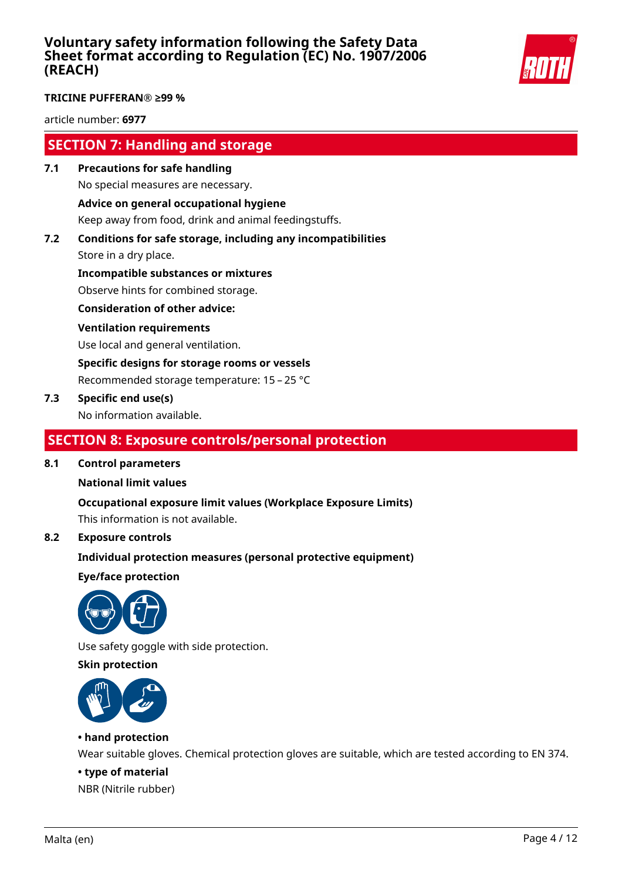

#### **TRICINE PUFFERAN® ≥99 %**

article number: **6977**

# **SECTION 7: Handling and storage**

- **7.1 Precautions for safe handling** No special measures are necessary. **Advice on general occupational hygiene** Keep away from food, drink and animal feedingstuffs.
- **7.2 Conditions for safe storage, including any incompatibilities**

Store in a dry place.

**Incompatible substances or mixtures** Observe hints for combined storage.

**Consideration of other advice:**

### **Ventilation requirements**

Use local and general ventilation.

**Specific designs for storage rooms or vessels**

Recommended storage temperature: 15 – 25 °C

### **7.3 Specific end use(s)**

No information available.

# **SECTION 8: Exposure controls/personal protection**

#### **8.1 Control parameters**

#### **National limit values**

**Occupational exposure limit values (Workplace Exposure Limits)**

This information is not available.

### **8.2 Exposure controls**

#### **Individual protection measures (personal protective equipment)**

**Eye/face protection**



Use safety goggle with side protection.

### **Skin protection**



### **• hand protection**

Wear suitable gloves. Chemical protection gloves are suitable, which are tested according to EN 374.

#### **• type of material**

NBR (Nitrile rubber)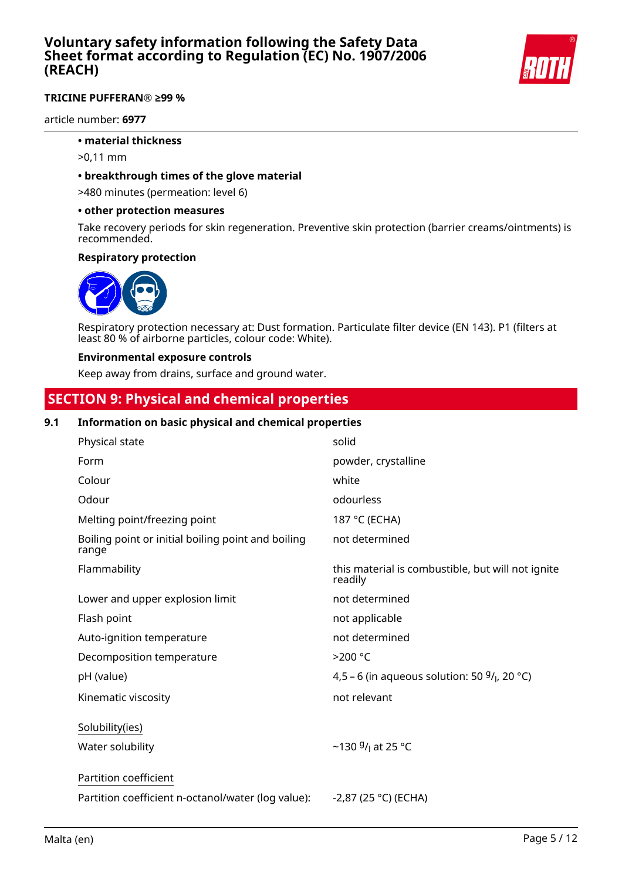

### **TRICINE PUFFERAN® ≥99 %**

article number: **6977**

#### **• material thickness**

- >0,11 mm
- **breakthrough times of the glove material**

>480 minutes (permeation: level 6)

#### **• other protection measures**

Take recovery periods for skin regeneration. Preventive skin protection (barrier creams/ointments) is recommended.

#### **Respiratory protection**



Respiratory protection necessary at: Dust formation. Particulate filter device (EN 143). P1 (filters at least 80 % of airborne particles, colour code: White).

#### **Environmental exposure controls**

Keep away from drains, surface and ground water.

# **SECTION 9: Physical and chemical properties**

#### **9.1 Information on basic physical and chemical properties**

| Physical state                                              | solid                                                        |
|-------------------------------------------------------------|--------------------------------------------------------------|
| Form                                                        | powder, crystalline                                          |
| Colour                                                      | white                                                        |
| Odour                                                       | odourless                                                    |
| Melting point/freezing point                                | 187 °C (ECHA)                                                |
| Boiling point or initial boiling point and boiling<br>range | not determined                                               |
| Flammability                                                | this material is combustible, but will not ignite<br>readily |
| Lower and upper explosion limit                             | not determined                                               |
| Flash point                                                 | not applicable                                               |
| Auto-ignition temperature                                   | not determined                                               |
| Decomposition temperature                                   | >200 °C                                                      |
| pH (value)                                                  | 4,5 – 6 (in aqueous solution: 50 $9/1$ , 20 °C)              |
| Kinematic viscosity                                         | not relevant                                                 |
| Solubility(ies)                                             |                                                              |
| Water solubility                                            | ~130 $9/1$ at 25 °C                                          |
| Partition coefficient                                       |                                                              |
| Partition coefficient n-octanol/water (log value):          | $-2,87$ (25 °C) (ECHA)                                       |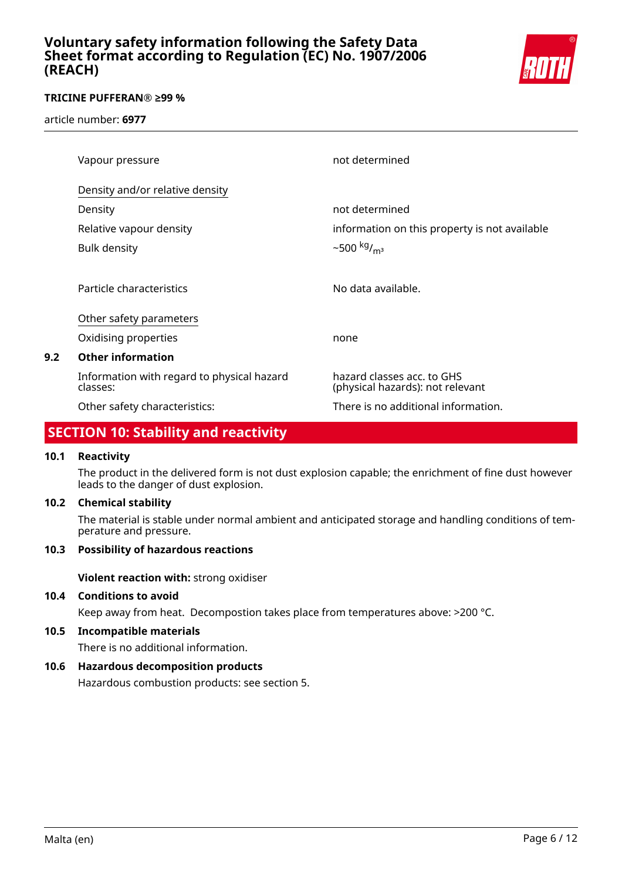

### **TRICINE PUFFERAN® ≥99 %**

article number: **6977**

|     | Vapour pressure                                        | not determined                                                 |
|-----|--------------------------------------------------------|----------------------------------------------------------------|
|     | Density and/or relative density                        |                                                                |
|     | Density                                                | not determined                                                 |
|     | Relative vapour density                                | information on this property is not available                  |
|     | <b>Bulk density</b>                                    | $~500~{\rm kg/m^3}$                                            |
|     |                                                        |                                                                |
|     | Particle characteristics                               | No data available.                                             |
|     | Other safety parameters                                |                                                                |
|     | Oxidising properties                                   | none                                                           |
| 9.2 | <b>Other information</b>                               |                                                                |
|     | Information with regard to physical hazard<br>classes: | hazard classes acc. to GHS<br>(physical hazards): not relevant |
|     | Other safety characteristics:                          | There is no additional information.                            |
|     |                                                        |                                                                |

# **SECTION 10: Stability and reactivity**

#### **10.1 Reactivity**

The product in the delivered form is not dust explosion capable; the enrichment of fine dust however leads to the danger of dust explosion.

### **10.2 Chemical stability**

The material is stable under normal ambient and anticipated storage and handling conditions of temperature and pressure.

# **10.3 Possibility of hazardous reactions**

**Violent reaction with:** strong oxidiser

### **10.4 Conditions to avoid**

Keep away from heat. Decompostion takes place from temperatures above: >200 °C.

#### **10.5 Incompatible materials**

There is no additional information.

# **10.6 Hazardous decomposition products**

Hazardous combustion products: see section 5.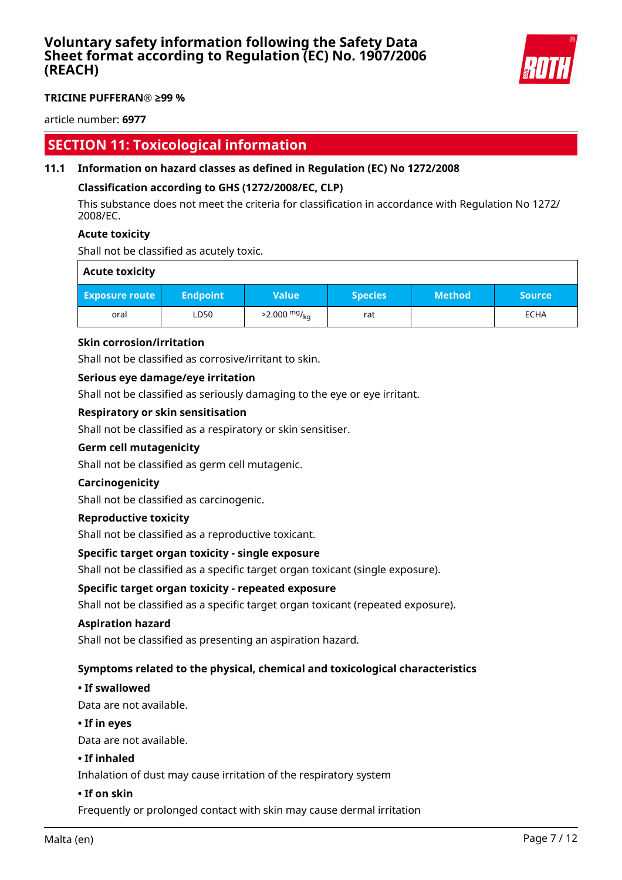

#### **TRICINE PUFFERAN® ≥99 %**

article number: **6977**

# **SECTION 11: Toxicological information**

### **11.1 Information on hazard classes as defined in Regulation (EC) No 1272/2008**

### **Classification according to GHS (1272/2008/EC, CLP)**

This substance does not meet the criteria for classification in accordance with Regulation No 1272/ 2008/EC.

#### **Acute toxicity**

Shall not be classified as acutely toxic.

| <b>Acute toxicity</b> |                 |                            |                |               |             |
|-----------------------|-----------------|----------------------------|----------------|---------------|-------------|
| <b>Exposure route</b> | <b>Endpoint</b> | <b>Value</b>               | <b>Species</b> | <b>Method</b> | Source      |
| oral                  | LD50            | $>2.000$ mg/ <sub>kg</sub> | rat            |               | <b>ECHA</b> |

#### **Skin corrosion/irritation**

Shall not be classified as corrosive/irritant to skin.

#### **Serious eye damage/eye irritation**

Shall not be classified as seriously damaging to the eye or eye irritant.

#### **Respiratory or skin sensitisation**

Shall not be classified as a respiratory or skin sensitiser.

#### **Germ cell mutagenicity**

Shall not be classified as germ cell mutagenic.

#### **Carcinogenicity**

Shall not be classified as carcinogenic.

#### **Reproductive toxicity**

Shall not be classified as a reproductive toxicant.

#### **Specific target organ toxicity - single exposure**

Shall not be classified as a specific target organ toxicant (single exposure).

#### **Specific target organ toxicity - repeated exposure**

Shall not be classified as a specific target organ toxicant (repeated exposure).

#### **Aspiration hazard**

Shall not be classified as presenting an aspiration hazard.

#### **Symptoms related to the physical, chemical and toxicological characteristics**

#### **• If swallowed**

Data are not available.

#### **• If in eyes**

Data are not available.

#### **• If inhaled**

Inhalation of dust may cause irritation of the respiratory system

#### **• If on skin**

Frequently or prolonged contact with skin may cause dermal irritation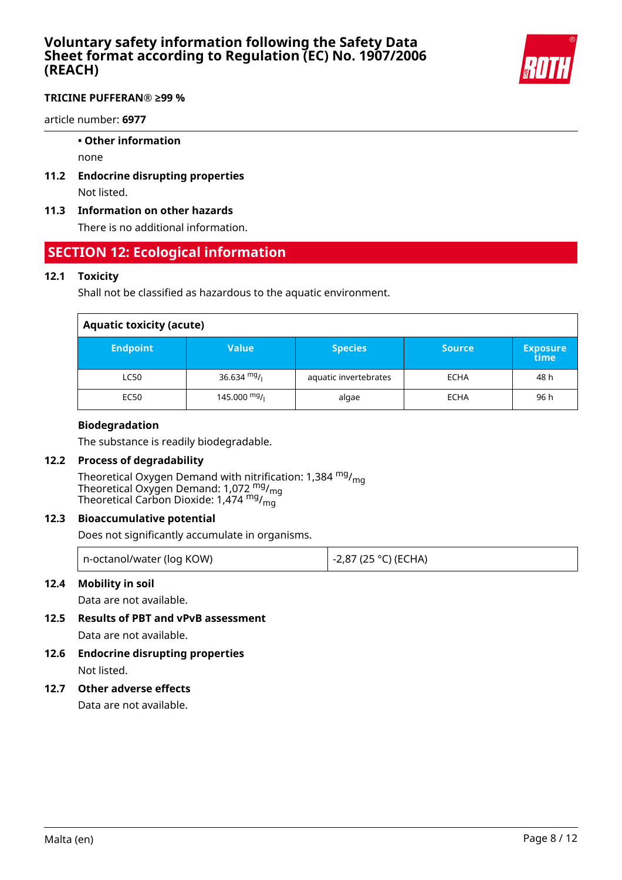

### **TRICINE PUFFERAN® ≥99 %**

article number: **6977**

#### **• Other information**

none

**11.2 Endocrine disrupting properties** Not listed.

### **11.3 Information on other hazards**

There is no additional information.

# **SECTION 12: Ecological information**

### **12.1 Toxicity**

Shall not be classified as hazardous to the aquatic environment.

# **Aquatic toxicity (acute)**

| .               |                |                       |               |                         |
|-----------------|----------------|-----------------------|---------------|-------------------------|
| <b>Endpoint</b> | <b>Value</b>   | <b>Species</b>        | <b>Source</b> | <b>Exposure</b><br>time |
| LC50            | 36.634 $mg/1$  | aquatic invertebrates | <b>ECHA</b>   | 48 h                    |
| EC50            | 145.000 $mg/1$ | algae                 | <b>ECHA</b>   | 96 h                    |

### **Biodegradation**

The substance is readily biodegradable.

#### **12.2 Process of degradability**

Theoretical Oxygen Demand with nitrification: 1,384 <sup>mg</sup>/<sub>mg</sub> Theoretical Oxygen Demand: 1,072  $\frac{mg}{mg}$ Theoretical Carbon Dioxide: 1,474  $^{\mathsf{mg}}$ / $^{\mathsf{mg}}$ 

# **12.3 Bioaccumulative potential**

Does not significantly accumulate in organisms.

| n-octanol/water (log KOW) | l -2,87 (25 °C) (ECHA) |
|---------------------------|------------------------|
|                           |                        |

# **12.4 Mobility in soil**

Data are not available.

**12.5 Results of PBT and vPvB assessment**

Data are not available.

**12.6 Endocrine disrupting properties** Not listed.

# **12.7 Other adverse effects**

Data are not available.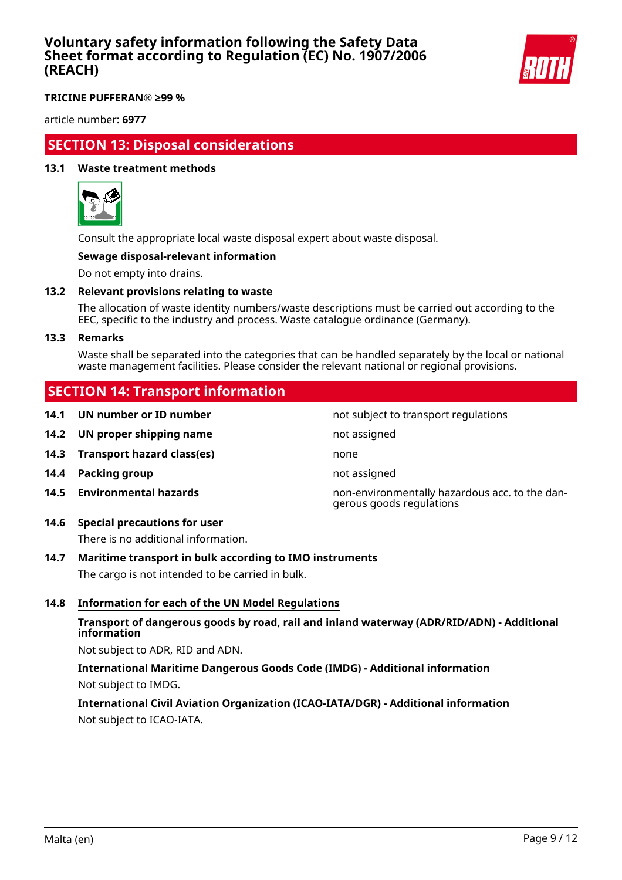

**TRICINE PUFFERAN® ≥99 %**

article number: **6977**

# **SECTION 13: Disposal considerations**

#### **13.1 Waste treatment methods**



Consult the appropriate local waste disposal expert about waste disposal.

### **Sewage disposal-relevant information**

Do not empty into drains.

#### **13.2 Relevant provisions relating to waste**

The allocation of waste identity numbers/waste descriptions must be carried out according to the EEC, specific to the industry and process. Waste catalogue ordinance (Germany).

#### **13.3 Remarks**

Waste shall be separated into the categories that can be handled separately by the local or national waste management facilities. Please consider the relevant national or regional provisions.

# **SECTION 14: Transport information**

**14.2 UN proper shipping name** not assigned

- **14.3 Transport hazard class(es)** none
- **14.4 Packing group not assigned**
- 
- **14.6 Special precautions for user**

There is no additional information.

# **14.7 Maritime transport in bulk according to IMO instruments**

The cargo is not intended to be carried in bulk.

#### **14.8 Information for each of the UN Model Regulations**

### **Transport of dangerous goods by road, rail and inland waterway (ADR/RID/ADN) - Additional information**

Not subject to ADR, RID and ADN.

# **International Maritime Dangerous Goods Code (IMDG) - Additional information** Not subject to IMDG.

# **International Civil Aviation Organization (ICAO-IATA/DGR) - Additional information** Not subject to ICAO-IATA.

not subject to transport regulations

**14.5 Environmental hazards** non-environmentally hazardous acc. to the dangerous goods regulations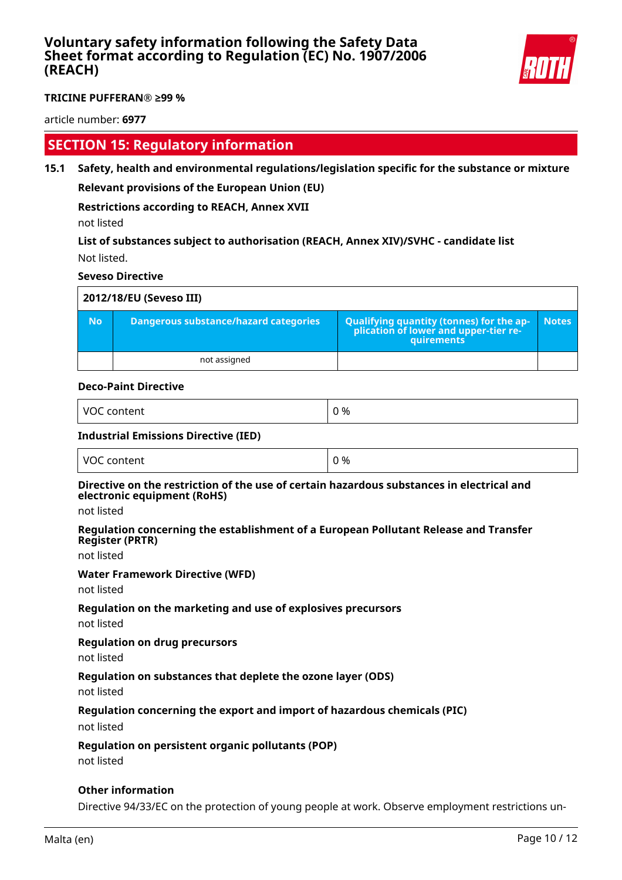

#### **TRICINE PUFFERAN® ≥99 %**

article number: **6977**

# **SECTION 15: Regulatory information**

**15.1 Safety, health and environmental regulations/legislation specific for the substance or mixture Relevant provisions of the European Union (EU)**

# **Restrictions according to REACH, Annex XVII**

not listed

**List of substances subject to authorisation (REACH, Annex XIV)/SVHC - candidate list** Not listed.

#### **Seveso Directive**

|           | 2012/18/EU (Seveso III)                      |                                                                                                   |              |
|-----------|----------------------------------------------|---------------------------------------------------------------------------------------------------|--------------|
| <b>No</b> | <b>Dangerous substance/hazard categories</b> | Qualifying quantity (tonnes) for the application of lower and upper-tier re-<br><b>auirements</b> | <b>Notes</b> |
|           | not assigned                                 |                                                                                                   |              |

#### **Deco-Paint Directive**

| VOC<br>$- + - - - -$<br>м<br>,,,,,<br>.<br>$-$ | ገ %<br>__ |
|------------------------------------------------|-----------|
|------------------------------------------------|-----------|

#### **Industrial Emissions Directive (IED)**

| VOC content | 0 % |
|-------------|-----|
|             |     |

#### **Directive on the restriction of the use of certain hazardous substances in electrical and electronic equipment (RoHS)**

not listed

#### **Regulation concerning the establishment of a European Pollutant Release and Transfer Register (PRTR)**

not listed

#### **Water Framework Directive (WFD)**

not listed

#### **Regulation on the marketing and use of explosives precursors**

not listed

#### **Regulation on drug precursors**

not listed

#### **Regulation on substances that deplete the ozone layer (ODS)**

not listed

#### **Regulation concerning the export and import of hazardous chemicals (PIC)**

not listed

#### **Regulation on persistent organic pollutants (POP)**

not listed

#### **Other information**

Directive 94/33/EC on the protection of young people at work. Observe employment restrictions un-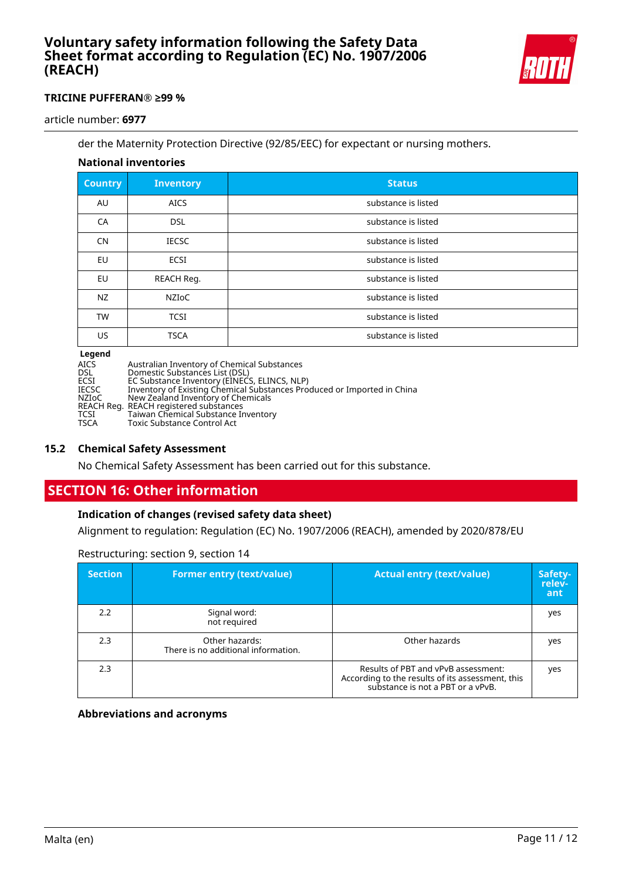

### **TRICINE PUFFERAN® ≥99 %**

article number: **6977**

der the Maternity Protection Directive (92/85/EEC) for expectant or nursing mothers.

# **National inventories**

| <b>Country</b> | <b>Inventory</b> | <b>Status</b>       |
|----------------|------------------|---------------------|
| AU             | <b>AICS</b>      | substance is listed |
| CA             | <b>DSL</b>       | substance is listed |
| <b>CN</b>      | <b>IECSC</b>     | substance is listed |
| EU             | <b>ECSI</b>      | substance is listed |
| EU             | REACH Reg.       | substance is listed |
| <b>NZ</b>      | NZIoC            | substance is listed |
| <b>TW</b>      | <b>TCSI</b>      | substance is listed |
| <b>US</b>      | <b>TSCA</b>      | substance is listed |
|                |                  |                     |

#### **Legend**

| AICS       | Australian Inventory of Chemical Substances                             |
|------------|-------------------------------------------------------------------------|
| <b>DSL</b> | Domestic Substances List (DSL)                                          |
| ECSI       | EC Substance Inventory (EINECS, ELINCS, NLP)                            |
| IECSC      | Inventory of Existing Chemical Substances Produced or Imported in China |
| NZIoC      | New Zealand Inventory of Chemicals                                      |
|            | REACH Reg. REACH registered substances                                  |
| TCSI       | Taiwan Chemical Substance Inventory                                     |
| TSCA       | Toxic Substance Control Act                                             |
|            |                                                                         |

#### **15.2 Chemical Safety Assessment**

No Chemical Safety Assessment has been carried out for this substance.

# **SECTION 16: Other information**

# **Indication of changes (revised safety data sheet)**

Alignment to regulation: Regulation (EC) No. 1907/2006 (REACH), amended by 2020/878/EU

| <b>Section</b> | <b>Former entry (text/value)</b>                      | <b>Actual entry (text/value)</b>                                                                                             | Safety-<br>relev-<br>ant |
|----------------|-------------------------------------------------------|------------------------------------------------------------------------------------------------------------------------------|--------------------------|
| 2.2            | Signal word:<br>not required                          |                                                                                                                              | yes                      |
| 2.3            | Other hazards:<br>There is no additional information. | Other hazards                                                                                                                | yes                      |
| 2.3            |                                                       | Results of PBT and vPvB assessment:<br>According to the results of its assessment, this<br>substance is not a PBT or a vPvB. | yes                      |

Restructuring: section 9, section 14

**Abbreviations and acronyms**